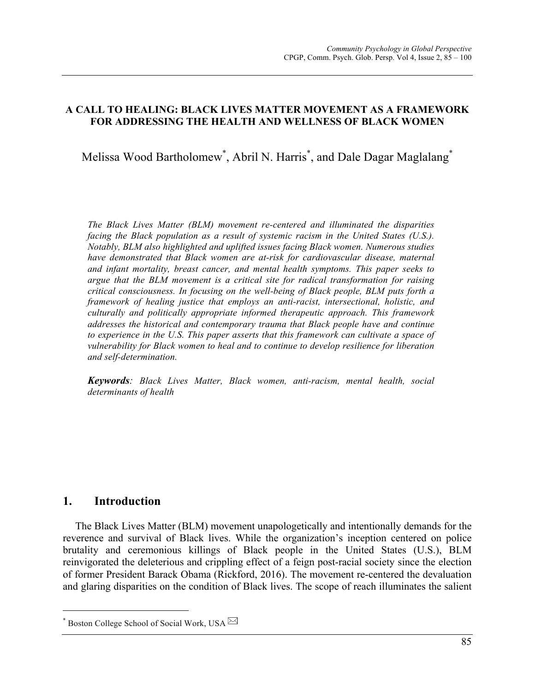## **A CALL TO HEALING: BLACK LIVES MATTER MOVEMENT AS A FRAMEWORK FOR ADDRESSING THE HEALTH AND WELLNESS OF BLACK WOMEN**

Melissa Wood Bartholomew\* , Abril N. Harris\* , and Dale Dagar Maglalang\*

*The Black Lives Matter (BLM) movement re-centered and illuminated the disparities facing the Black population as a result of systemic racism in the United States (U.S.). Notably, BLM also highlighted and uplifted issues facing Black women. Numerous studies have demonstrated that Black women are at-risk for cardiovascular disease, maternal and infant mortality, breast cancer, and mental health symptoms. This paper seeks to argue that the BLM movement is a critical site for radical transformation for raising critical consciousness. In focusing on the well-being of Black people, BLM puts forth a framework of healing justice that employs an anti-racist, intersectional, holistic, and culturally and politically appropriate informed therapeutic approach. This framework addresses the historical and contemporary trauma that Black people have and continue to experience in the U.S. This paper asserts that this framework can cultivate a space of vulnerability for Black women to heal and to continue to develop resilience for liberation and self-determination.*

*Keywords: Black Lives Matter, Black women, anti-racism, mental health, social determinants of health*

# **1. Introduction**

The Black Lives Matter (BLM) movement unapologetically and intentionally demands for the reverence and survival of Black lives. While the organization's inception centered on police brutality and ceremonious killings of Black people in the United States (U.S.), BLM reinvigorated the deleterious and crippling effect of a feign post-racial society since the election of former President Barack Obama (Rickford, 2016). The movement re-centered the devaluation and glaring disparities on the condition of Black lives. The scope of reach illuminates the salient

Boston College School of Social Work, USA  $\boxtimes$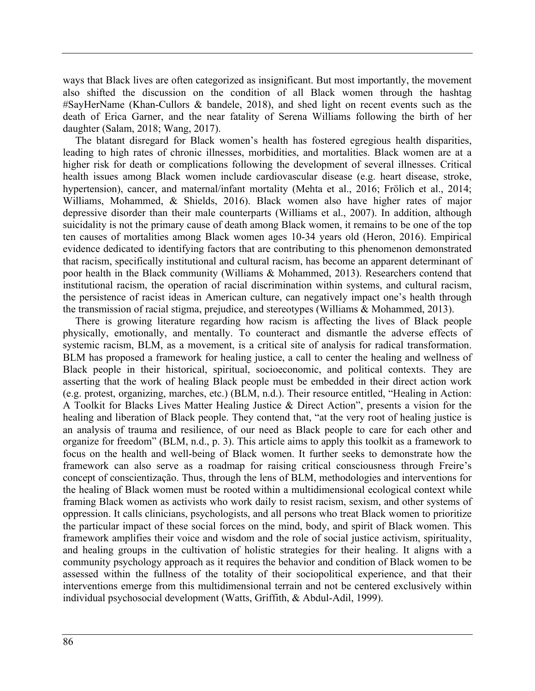ways that Black lives are often categorized as insignificant. But most importantly, the movement also shifted the discussion on the condition of all Black women through the hashtag #SayHerName (Khan-Cullors & bandele, 2018), and shed light on recent events such as the death of Erica Garner, and the near fatality of Serena Williams following the birth of her daughter (Salam, 2018; Wang, 2017).

The blatant disregard for Black women's health has fostered egregious health disparities, leading to high rates of chronic illnesses, morbidities, and mortalities. Black women are at a higher risk for death or complications following the development of several illnesses. Critical health issues among Black women include cardiovascular disease (e.g. heart disease, stroke, hypertension), cancer, and maternal/infant mortality (Mehta et al., 2016; Frölich et al., 2014; Williams, Mohammed, & Shields, 2016). Black women also have higher rates of major depressive disorder than their male counterparts (Williams et al., 2007). In addition, although suicidality is not the primary cause of death among Black women, it remains to be one of the top ten causes of mortalities among Black women ages 10-34 years old (Heron, 2016). Empirical evidence dedicated to identifying factors that are contributing to this phenomenon demonstrated that racism, specifically institutional and cultural racism, has become an apparent determinant of poor health in the Black community (Williams & Mohammed, 2013). Researchers contend that institutional racism, the operation of racial discrimination within systems, and cultural racism, the persistence of racist ideas in American culture, can negatively impact one's health through the transmission of racial stigma, prejudice, and stereotypes (Williams & Mohammed, 2013).

There is growing literature regarding how racism is affecting the lives of Black people physically, emotionally, and mentally. To counteract and dismantle the adverse effects of systemic racism, BLM, as a movement, is a critical site of analysis for radical transformation. BLM has proposed a framework for healing justice, a call to center the healing and wellness of Black people in their historical, spiritual, socioeconomic, and political contexts. They are asserting that the work of healing Black people must be embedded in their direct action work (e.g. protest, organizing, marches, etc.) (BLM, n.d.). Their resource entitled, "Healing in Action: A Toolkit for Blacks Lives Matter Healing Justice & Direct Action", presents a vision for the healing and liberation of Black people. They contend that, "at the very root of healing justice is an analysis of trauma and resilience, of our need as Black people to care for each other and organize for freedom" (BLM, n.d., p. 3). This article aims to apply this toolkit as a framework to focus on the health and well-being of Black women. It further seeks to demonstrate how the framework can also serve as a roadmap for raising critical consciousness through Freire's concept of conscientização. Thus, through the lens of BLM, methodologies and interventions for the healing of Black women must be rooted within a multidimensional ecological context while framing Black women as activists who work daily to resist racism, sexism, and other systems of oppression. It calls clinicians, psychologists, and all persons who treat Black women to prioritize the particular impact of these social forces on the mind, body, and spirit of Black women. This framework amplifies their voice and wisdom and the role of social justice activism, spirituality, and healing groups in the cultivation of holistic strategies for their healing. It aligns with a community psychology approach as it requires the behavior and condition of Black women to be assessed within the fullness of the totality of their sociopolitical experience, and that their interventions emerge from this multidimensional terrain and not be centered exclusively within individual psychosocial development (Watts, Griffith, & Abdul-Adil, 1999).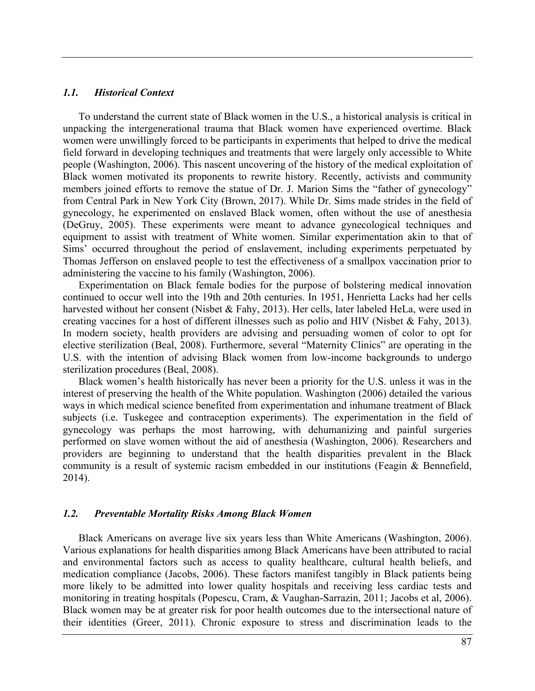#### *1.1. Historical Context*

To understand the current state of Black women in the U.S., a historical analysis is critical in unpacking the intergenerational trauma that Black women have experienced overtime. Black women were unwillingly forced to be participants in experiments that helped to drive the medical field forward in developing techniques and treatments that were largely only accessible to White people (Washington, 2006). This nascent uncovering of the history of the medical exploitation of Black women motivated its proponents to rewrite history. Recently, activists and community members joined efforts to remove the statue of Dr. J. Marion Sims the "father of gynecology" from Central Park in New York City (Brown, 2017). While Dr. Sims made strides in the field of gynecology, he experimented on enslaved Black women, often without the use of anesthesia (DeGruy, 2005). These experiments were meant to advance gynecological techniques and equipment to assist with treatment of White women. Similar experimentation akin to that of Sims' occurred throughout the period of enslavement, including experiments perpetuated by Thomas Jefferson on enslaved people to test the effectiveness of a smallpox vaccination prior to administering the vaccine to his family (Washington, 2006).

Experimentation on Black female bodies for the purpose of bolstering medical innovation continued to occur well into the 19th and 20th centuries. In 1951, Henrietta Lacks had her cells harvested without her consent (Nisbet & Fahy, 2013). Her cells, later labeled HeLa, were used in creating vaccines for a host of different illnesses such as polio and HIV (Nisbet & Fahy, 2013). In modern society, health providers are advising and persuading women of color to opt for elective sterilization (Beal, 2008). Furthermore, several "Maternity Clinics" are operating in the U.S. with the intention of advising Black women from low-income backgrounds to undergo sterilization procedures (Beal, 2008).

Black women's health historically has never been a priority for the U.S. unless it was in the interest of preserving the health of the White population. Washington (2006) detailed the various ways in which medical science benefited from experimentation and inhumane treatment of Black subjects (i.e. Tuskegee and contraception experiments). The experimentation in the field of gynecology was perhaps the most harrowing, with dehumanizing and painful surgeries performed on slave women without the aid of anesthesia (Washington, 2006). Researchers and providers are beginning to understand that the health disparities prevalent in the Black community is a result of systemic racism embedded in our institutions (Feagin & Bennefield, 2014).

## *1.2. Preventable Mortality Risks Among Black Women*

Black Americans on average live six years less than White Americans (Washington, 2006). Various explanations for health disparities among Black Americans have been attributed to racial and environmental factors such as access to quality healthcare, cultural health beliefs, and medication compliance (Jacobs, 2006). These factors manifest tangibly in Black patients being more likely to be admitted into lower quality hospitals and receiving less cardiac tests and monitoring in treating hospitals (Popescu, Cram, & Vaughan-Sarrazin, 2011; Jacobs et al, 2006). Black women may be at greater risk for poor health outcomes due to the intersectional nature of their identities (Greer, 2011). Chronic exposure to stress and discrimination leads to the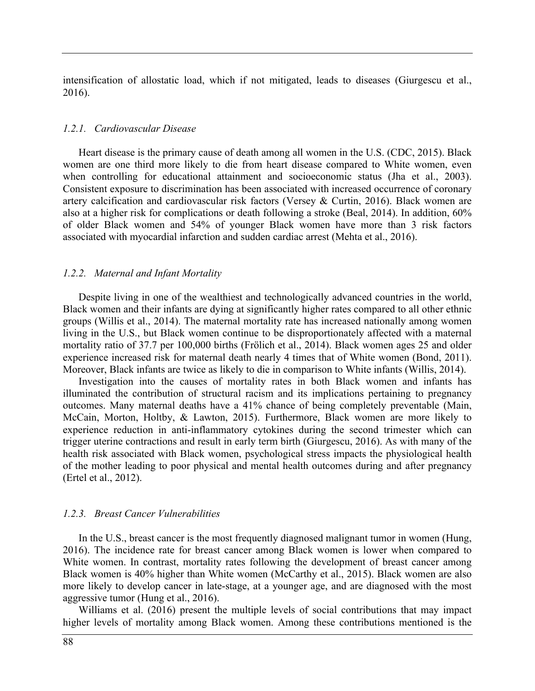intensification of allostatic load, which if not mitigated, leads to diseases (Giurgescu et al., 2016).

#### *1.2.1. Cardiovascular Disease*

Heart disease is the primary cause of death among all women in the U.S. (CDC, 2015). Black women are one third more likely to die from heart disease compared to White women, even when controlling for educational attainment and socioeconomic status (Jha et al., 2003). Consistent exposure to discrimination has been associated with increased occurrence of coronary artery calcification and cardiovascular risk factors (Versey & Curtin, 2016). Black women are also at a higher risk for complications or death following a stroke (Beal, 2014). In addition, 60% of older Black women and 54% of younger Black women have more than 3 risk factors associated with myocardial infarction and sudden cardiac arrest (Mehta et al., 2016).

#### *1.2.2. Maternal and Infant Mortality*

Despite living in one of the wealthiest and technologically advanced countries in the world, Black women and their infants are dying at significantly higher rates compared to all other ethnic groups (Willis et al., 2014). The maternal mortality rate has increased nationally among women living in the U.S., but Black women continue to be disproportionately affected with a maternal mortality ratio of 37.7 per 100,000 births (Frölich et al., 2014). Black women ages 25 and older experience increased risk for maternal death nearly 4 times that of White women (Bond, 2011). Moreover, Black infants are twice as likely to die in comparison to White infants (Willis, 2014).

Investigation into the causes of mortality rates in both Black women and infants has illuminated the contribution of structural racism and its implications pertaining to pregnancy outcomes. Many maternal deaths have a 41% chance of being completely preventable (Main, McCain, Morton, Holtby, & Lawton, 2015). Furthermore, Black women are more likely to experience reduction in anti-inflammatory cytokines during the second trimester which can trigger uterine contractions and result in early term birth (Giurgescu, 2016). As with many of the health risk associated with Black women, psychological stress impacts the physiological health of the mother leading to poor physical and mental health outcomes during and after pregnancy (Ertel et al., 2012).

#### *1.2.3. Breast Cancer Vulnerabilities*

In the U.S., breast cancer is the most frequently diagnosed malignant tumor in women (Hung, 2016). The incidence rate for breast cancer among Black women is lower when compared to White women. In contrast, mortality rates following the development of breast cancer among Black women is 40% higher than White women (McCarthy et al., 2015). Black women are also more likely to develop cancer in late-stage, at a younger age, and are diagnosed with the most aggressive tumor (Hung et al., 2016).

Williams et al. (2016) present the multiple levels of social contributions that may impact higher levels of mortality among Black women. Among these contributions mentioned is the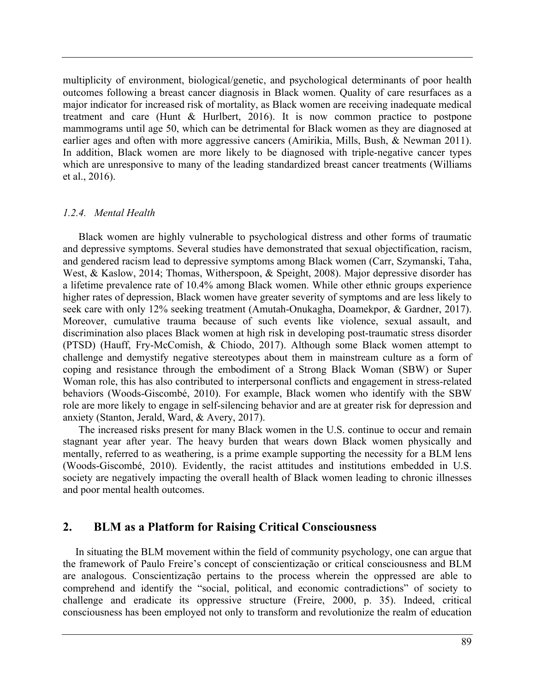multiplicity of environment, biological/genetic, and psychological determinants of poor health outcomes following a breast cancer diagnosis in Black women. Quality of care resurfaces as a major indicator for increased risk of mortality, as Black women are receiving inadequate medical treatment and care (Hunt & Hurlbert, 2016). It is now common practice to postpone mammograms until age 50, which can be detrimental for Black women as they are diagnosed at earlier ages and often with more aggressive cancers (Amirikia, Mills, Bush, & Newman 2011). In addition, Black women are more likely to be diagnosed with triple-negative cancer types which are unresponsive to many of the leading standardized breast cancer treatments (Williams et al., 2016).

#### *1.2.4. Mental Health*

Black women are highly vulnerable to psychological distress and other forms of traumatic and depressive symptoms. Several studies have demonstrated that sexual objectification, racism, and gendered racism lead to depressive symptoms among Black women (Carr, Szymanski, Taha, West, & Kaslow, 2014; Thomas, Witherspoon, & Speight, 2008). Major depressive disorder has a lifetime prevalence rate of 10.4% among Black women. While other ethnic groups experience higher rates of depression, Black women have greater severity of symptoms and are less likely to seek care with only 12% seeking treatment (Amutah-Onukagha, Doamekpor, & Gardner, 2017). Moreover, cumulative trauma because of such events like violence, sexual assault, and discrimination also places Black women at high risk in developing post-traumatic stress disorder (PTSD) (Hauff, Fry-McComish, & Chiodo, 2017). Although some Black women attempt to challenge and demystify negative stereotypes about them in mainstream culture as a form of coping and resistance through the embodiment of a Strong Black Woman (SBW) or Super Woman role, this has also contributed to interpersonal conflicts and engagement in stress-related behaviors (Woods-Giscombé, 2010). For example, Black women who identify with the SBW role are more likely to engage in self-silencing behavior and are at greater risk for depression and anxiety (Stanton, Jerald, Ward, & Avery, 2017).

The increased risks present for many Black women in the U.S. continue to occur and remain stagnant year after year. The heavy burden that wears down Black women physically and mentally, referred to as weathering, is a prime example supporting the necessity for a BLM lens (Woods-Giscombé, 2010). Evidently, the racist attitudes and institutions embedded in U.S. society are negatively impacting the overall health of Black women leading to chronic illnesses and poor mental health outcomes.

# **2. BLM as a Platform for Raising Critical Consciousness**

In situating the BLM movement within the field of community psychology, one can argue that the framework of Paulo Freire's concept of conscientização or critical consciousness and BLM are analogous. Conscientização pertains to the process wherein the oppressed are able to comprehend and identify the "social, political, and economic contradictions" of society to challenge and eradicate its oppressive structure (Freire, 2000, p. 35). Indeed, critical consciousness has been employed not only to transform and revolutionize the realm of education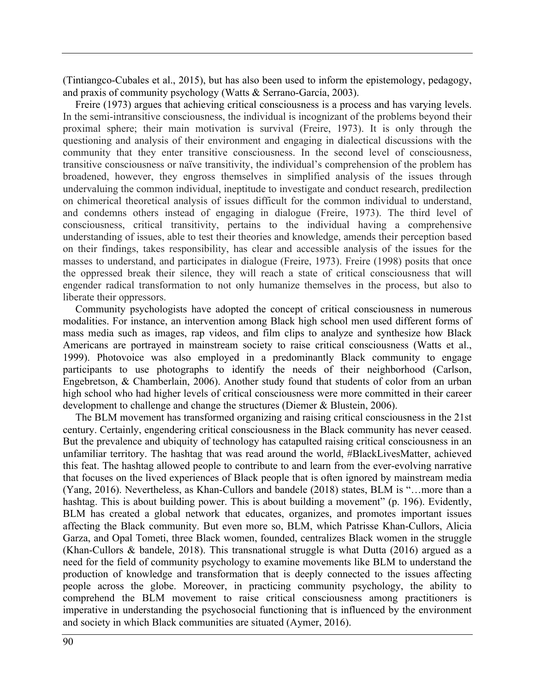(Tintiangco-Cubales et al., 2015), but has also been used to inform the epistemology, pedagogy, and praxis of community psychology (Watts & Serrano-García, 2003).

Freire (1973) argues that achieving critical consciousness is a process and has varying levels. In the semi-intransitive consciousness, the individual is incognizant of the problems beyond their proximal sphere; their main motivation is survival (Freire, 1973). It is only through the questioning and analysis of their environment and engaging in dialectical discussions with the community that they enter transitive consciousness. In the second level of consciousness, transitive consciousness or naïve transitivity, the individual's comprehension of the problem has broadened, however, they engross themselves in simplified analysis of the issues through undervaluing the common individual, ineptitude to investigate and conduct research, predilection on chimerical theoretical analysis of issues difficult for the common individual to understand, and condemns others instead of engaging in dialogue (Freire, 1973). The third level of consciousness, critical transitivity, pertains to the individual having a comprehensive understanding of issues, able to test their theories and knowledge, amends their perception based on their findings, takes responsibility, has clear and accessible analysis of the issues for the masses to understand, and participates in dialogue (Freire, 1973). Freire (1998) posits that once the oppressed break their silence, they will reach a state of critical consciousness that will engender radical transformation to not only humanize themselves in the process, but also to liberate their oppressors.

Community psychologists have adopted the concept of critical consciousness in numerous modalities. For instance, an intervention among Black high school men used different forms of mass media such as images, rap videos, and film clips to analyze and synthesize how Black Americans are portrayed in mainstream society to raise critical consciousness (Watts et al., 1999). Photovoice was also employed in a predominantly Black community to engage participants to use photographs to identify the needs of their neighborhood (Carlson, Engebretson, & Chamberlain, 2006). Another study found that students of color from an urban high school who had higher levels of critical consciousness were more committed in their career development to challenge and change the structures (Diemer & Blustein, 2006).

The BLM movement has transformed organizing and raising critical consciousness in the 21st century. Certainly, engendering critical consciousness in the Black community has never ceased. But the prevalence and ubiquity of technology has catapulted raising critical consciousness in an unfamiliar territory. The hashtag that was read around the world, #BlackLivesMatter, achieved this feat. The hashtag allowed people to contribute to and learn from the ever-evolving narrative that focuses on the lived experiences of Black people that is often ignored by mainstream media (Yang, 2016). Nevertheless, as Khan-Cullors and bandele (2018) states, BLM is "…more than a hashtag. This is about building power. This is about building a movement" (p. 196). Evidently, BLM has created a global network that educates, organizes, and promotes important issues affecting the Black community. But even more so, BLM, which Patrisse Khan-Cullors, Alicia Garza, and Opal Tometi, three Black women, founded, centralizes Black women in the struggle (Khan-Cullors & bandele, 2018). This transnational struggle is what Dutta (2016) argued as a need for the field of community psychology to examine movements like BLM to understand the production of knowledge and transformation that is deeply connected to the issues affecting people across the globe. Moreover, in practicing community psychology, the ability to comprehend the BLM movement to raise critical consciousness among practitioners is imperative in understanding the psychosocial functioning that is influenced by the environment and society in which Black communities are situated (Aymer, 2016).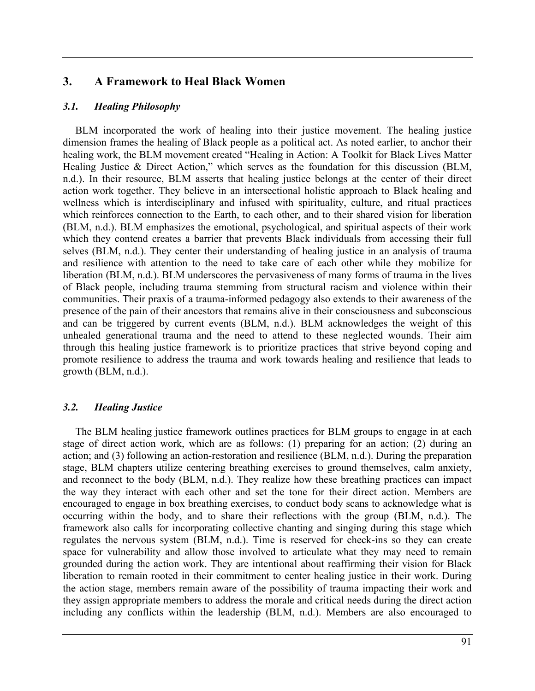# **3. A Framework to Heal Black Women**

#### *3.1. Healing Philosophy*

BLM incorporated the work of healing into their justice movement. The healing justice dimension frames the healing of Black people as a political act. As noted earlier, to anchor their healing work, the BLM movement created "Healing in Action: A Toolkit for Black Lives Matter Healing Justice & Direct Action," which serves as the foundation for this discussion (BLM, n.d.). In their resource, BLM asserts that healing justice belongs at the center of their direct action work together. They believe in an intersectional holistic approach to Black healing and wellness which is interdisciplinary and infused with spirituality, culture, and ritual practices which reinforces connection to the Earth, to each other, and to their shared vision for liberation (BLM, n.d.). BLM emphasizes the emotional, psychological, and spiritual aspects of their work which they contend creates a barrier that prevents Black individuals from accessing their full selves (BLM, n.d.). They center their understanding of healing justice in an analysis of trauma and resilience with attention to the need to take care of each other while they mobilize for liberation (BLM, n.d.). BLM underscores the pervasiveness of many forms of trauma in the lives of Black people, including trauma stemming from structural racism and violence within their communities. Their praxis of a trauma-informed pedagogy also extends to their awareness of the presence of the pain of their ancestors that remains alive in their consciousness and subconscious and can be triggered by current events (BLM, n.d.). BLM acknowledges the weight of this unhealed generational trauma and the need to attend to these neglected wounds. Their aim through this healing justice framework is to prioritize practices that strive beyond coping and promote resilience to address the trauma and work towards healing and resilience that leads to growth (BLM, n.d.).

### *3.2. Healing Justice*

The BLM healing justice framework outlines practices for BLM groups to engage in at each stage of direct action work, which are as follows: (1) preparing for an action; (2) during an action; and (3) following an action-restoration and resilience (BLM, n.d.). During the preparation stage, BLM chapters utilize centering breathing exercises to ground themselves, calm anxiety, and reconnect to the body (BLM, n.d.). They realize how these breathing practices can impact the way they interact with each other and set the tone for their direct action. Members are encouraged to engage in box breathing exercises, to conduct body scans to acknowledge what is occurring within the body, and to share their reflections with the group (BLM, n.d.). The framework also calls for incorporating collective chanting and singing during this stage which regulates the nervous system (BLM, n.d.). Time is reserved for check-ins so they can create space for vulnerability and allow those involved to articulate what they may need to remain grounded during the action work. They are intentional about reaffirming their vision for Black liberation to remain rooted in their commitment to center healing justice in their work. During the action stage, members remain aware of the possibility of trauma impacting their work and they assign appropriate members to address the morale and critical needs during the direct action including any conflicts within the leadership (BLM, n.d.). Members are also encouraged to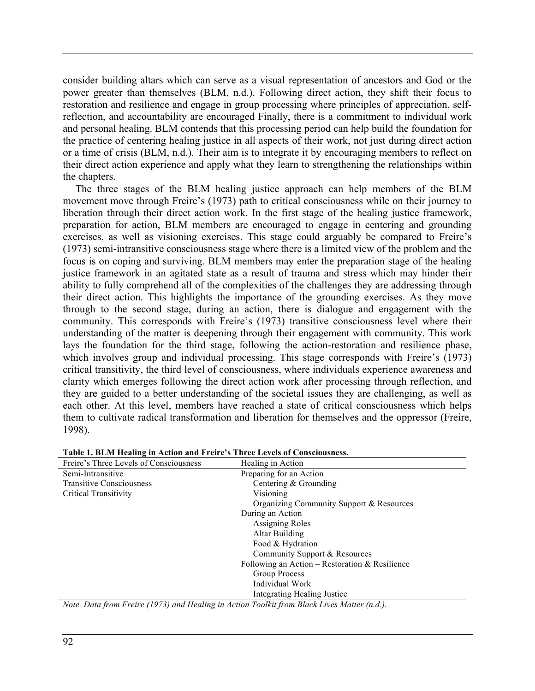consider building altars which can serve as a visual representation of ancestors and God or the power greater than themselves (BLM, n.d.). Following direct action, they shift their focus to restoration and resilience and engage in group processing where principles of appreciation, selfreflection, and accountability are encouraged Finally, there is a commitment to individual work and personal healing. BLM contends that this processing period can help build the foundation for the practice of centering healing justice in all aspects of their work, not just during direct action or a time of crisis (BLM, n.d.). Their aim is to integrate it by encouraging members to reflect on their direct action experience and apply what they learn to strengthening the relationships within the chapters.

The three stages of the BLM healing justice approach can help members of the BLM movement move through Freire's (1973) path to critical consciousness while on their journey to liberation through their direct action work. In the first stage of the healing justice framework, preparation for action, BLM members are encouraged to engage in centering and grounding exercises, as well as visioning exercises. This stage could arguably be compared to Freire's (1973) semi-intransitive consciousness stage where there is a limited view of the problem and the focus is on coping and surviving. BLM members may enter the preparation stage of the healing justice framework in an agitated state as a result of trauma and stress which may hinder their ability to fully comprehend all of the complexities of the challenges they are addressing through their direct action. This highlights the importance of the grounding exercises. As they move through to the second stage, during an action, there is dialogue and engagement with the community. This corresponds with Freire's (1973) transitive consciousness level where their understanding of the matter is deepening through their engagement with community. This work lays the foundation for the third stage, following the action-restoration and resilience phase, which involves group and individual processing. This stage corresponds with Freire's (1973) critical transitivity, the third level of consciousness, where individuals experience awareness and clarity which emerges following the direct action work after processing through reflection, and they are guided to a better understanding of the societal issues they are challenging, as well as each other. At this level, members have reached a state of critical consciousness which helps them to cultivate radical transformation and liberation for themselves and the oppressor (Freire, 1998).

| Freire's Three Levels of Consciousness | Healing in Action                              |  |  |
|----------------------------------------|------------------------------------------------|--|--|
| Semi-Intransitive                      | Preparing for an Action                        |  |  |
| <b>Transitive Consciousness</b>        | Centering & Grounding                          |  |  |
| <b>Critical Transitivity</b>           | Visioning                                      |  |  |
|                                        | Organizing Community Support & Resources       |  |  |
|                                        | During an Action                               |  |  |
|                                        | Assigning Roles<br>Altar Building              |  |  |
|                                        |                                                |  |  |
|                                        | Food & Hydration                               |  |  |
|                                        | Community Support & Resources                  |  |  |
|                                        | Following an Action – Restoration & Resilience |  |  |
|                                        | Group Process                                  |  |  |
|                                        | Individual Work                                |  |  |
|                                        | <b>Integrating Healing Justice</b>             |  |  |

|  |  |  | Table 1. BLM Healing in Action and Freire's Three Levels of Consciousness. |
|--|--|--|----------------------------------------------------------------------------|
|  |  |  |                                                                            |

*Note. Data from Freire (1973) and Healing in Action Toolkit from Black Lives Matter (n.d.).*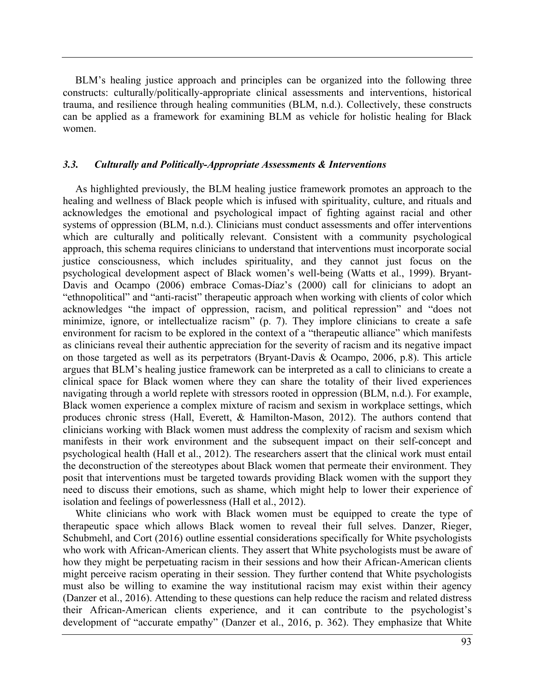BLM's healing justice approach and principles can be organized into the following three constructs: culturally/politically-appropriate clinical assessments and interventions, historical trauma, and resilience through healing communities (BLM, n.d.). Collectively, these constructs can be applied as a framework for examining BLM as vehicle for holistic healing for Black women.

### *3.3. Culturally and Politically-Appropriate Assessments & Interventions*

As highlighted previously, the BLM healing justice framework promotes an approach to the healing and wellness of Black people which is infused with spirituality, culture, and rituals and acknowledges the emotional and psychological impact of fighting against racial and other systems of oppression (BLM, n.d.). Clinicians must conduct assessments and offer interventions which are culturally and politically relevant. Consistent with a community psychological approach, this schema requires clinicians to understand that interventions must incorporate social justice consciousness, which includes spirituality, and they cannot just focus on the psychological development aspect of Black women's well-being (Watts et al., 1999). Bryant-Davis and Ocampo (2006) embrace Comas-Díaz's (2000) call for clinicians to adopt an "ethnopolitical" and "anti-racist" therapeutic approach when working with clients of color which acknowledges "the impact of oppression, racism, and political repression" and "does not minimize, ignore, or intellectualize racism" (p. 7). They implore clinicians to create a safe environment for racism to be explored in the context of a "therapeutic alliance" which manifests as clinicians reveal their authentic appreciation for the severity of racism and its negative impact on those targeted as well as its perpetrators (Bryant-Davis & Ocampo, 2006, p.8). This article argues that BLM's healing justice framework can be interpreted as a call to clinicians to create a clinical space for Black women where they can share the totality of their lived experiences navigating through a world replete with stressors rooted in oppression (BLM, n.d.). For example, Black women experience a complex mixture of racism and sexism in workplace settings, which produces chronic stress (Hall, Everett, & Hamilton-Mason, 2012). The authors contend that clinicians working with Black women must address the complexity of racism and sexism which manifests in their work environment and the subsequent impact on their self-concept and psychological health (Hall et al., 2012). The researchers assert that the clinical work must entail the deconstruction of the stereotypes about Black women that permeate their environment. They posit that interventions must be targeted towards providing Black women with the support they need to discuss their emotions, such as shame, which might help to lower their experience of isolation and feelings of powerlessness (Hall et al., 2012).

White clinicians who work with Black women must be equipped to create the type of therapeutic space which allows Black women to reveal their full selves. Danzer, Rieger, Schubmehl, and Cort (2016) outline essential considerations specifically for White psychologists who work with African-American clients. They assert that White psychologists must be aware of how they might be perpetuating racism in their sessions and how their African-American clients might perceive racism operating in their session. They further contend that White psychologists must also be willing to examine the way institutional racism may exist within their agency (Danzer et al., 2016). Attending to these questions can help reduce the racism and related distress their African-American clients experience, and it can contribute to the psychologist's development of "accurate empathy" (Danzer et al., 2016, p. 362). They emphasize that White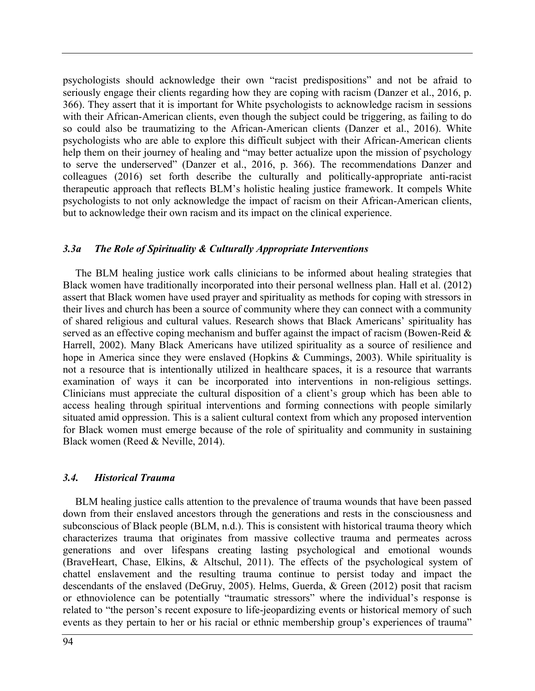psychologists should acknowledge their own "racist predispositions" and not be afraid to seriously engage their clients regarding how they are coping with racism (Danzer et al., 2016, p. 366). They assert that it is important for White psychologists to acknowledge racism in sessions with their African-American clients, even though the subject could be triggering, as failing to do so could also be traumatizing to the African-American clients (Danzer et al., 2016). White psychologists who are able to explore this difficult subject with their African-American clients help them on their journey of healing and "may better actualize upon the mission of psychology to serve the underserved" (Danzer et al., 2016, p. 366). The recommendations Danzer and colleagues (2016) set forth describe the culturally and politically-appropriate anti-racist therapeutic approach that reflects BLM's holistic healing justice framework. It compels White psychologists to not only acknowledge the impact of racism on their African-American clients, but to acknowledge their own racism and its impact on the clinical experience.

## *3.3a The Role of Spirituality & Culturally Appropriate Interventions*

The BLM healing justice work calls clinicians to be informed about healing strategies that Black women have traditionally incorporated into their personal wellness plan. Hall et al. (2012) assert that Black women have used prayer and spirituality as methods for coping with stressors in their lives and church has been a source of community where they can connect with a community of shared religious and cultural values. Research shows that Black Americans' spirituality has served as an effective coping mechanism and buffer against the impact of racism (Bowen-Reid  $\&$ Harrell, 2002). Many Black Americans have utilized spirituality as a source of resilience and hope in America since they were enslaved (Hopkins & Cummings, 2003). While spirituality is not a resource that is intentionally utilized in healthcare spaces, it is a resource that warrants examination of ways it can be incorporated into interventions in non-religious settings. Clinicians must appreciate the cultural disposition of a client's group which has been able to access healing through spiritual interventions and forming connections with people similarly situated amid oppression. This is a salient cultural context from which any proposed intervention for Black women must emerge because of the role of spirituality and community in sustaining Black women (Reed & Neville, 2014).

### *3.4. Historical Trauma*

BLM healing justice calls attention to the prevalence of trauma wounds that have been passed down from their enslaved ancestors through the generations and rests in the consciousness and subconscious of Black people (BLM, n.d.). This is consistent with historical trauma theory which characterizes trauma that originates from massive collective trauma and permeates across generations and over lifespans creating lasting psychological and emotional wounds (BraveHeart, Chase, Elkins, & Altschul, 2011). The effects of the psychological system of chattel enslavement and the resulting trauma continue to persist today and impact the descendants of the enslaved (DeGruy, 2005). Helms, Guerda, & Green (2012) posit that racism or ethnoviolence can be potentially "traumatic stressors" where the individual's response is related to "the person's recent exposure to life-jeopardizing events or historical memory of such events as they pertain to her or his racial or ethnic membership group's experiences of trauma"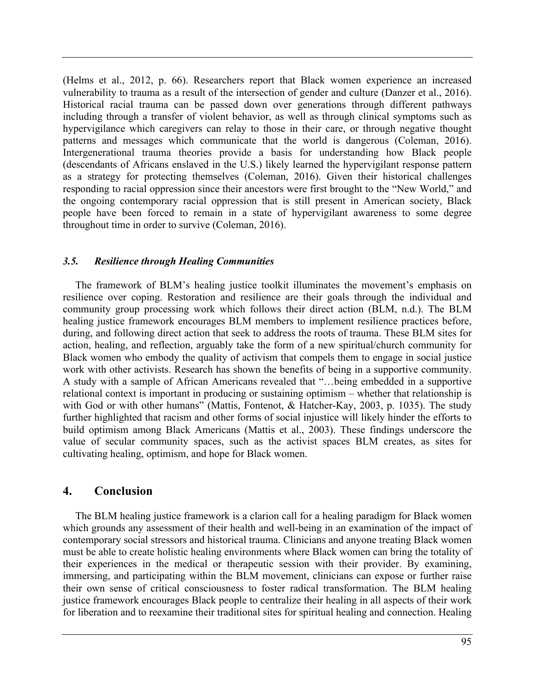(Helms et al., 2012, p. 66). Researchers report that Black women experience an increased vulnerability to trauma as a result of the intersection of gender and culture (Danzer et al., 2016). Historical racial trauma can be passed down over generations through different pathways including through a transfer of violent behavior, as well as through clinical symptoms such as hypervigilance which caregivers can relay to those in their care, or through negative thought patterns and messages which communicate that the world is dangerous (Coleman, 2016). Intergenerational trauma theories provide a basis for understanding how Black people (descendants of Africans enslaved in the U.S.) likely learned the hypervigilant response pattern as a strategy for protecting themselves (Coleman, 2016). Given their historical challenges responding to racial oppression since their ancestors were first brought to the "New World," and the ongoing contemporary racial oppression that is still present in American society, Black people have been forced to remain in a state of hypervigilant awareness to some degree throughout time in order to survive (Coleman, 2016).

## *3.5. Resilience through Healing Communities*

The framework of BLM's healing justice toolkit illuminates the movement's emphasis on resilience over coping. Restoration and resilience are their goals through the individual and community group processing work which follows their direct action (BLM, n.d.). The BLM healing justice framework encourages BLM members to implement resilience practices before, during, and following direct action that seek to address the roots of trauma. These BLM sites for action, healing, and reflection, arguably take the form of a new spiritual/church community for Black women who embody the quality of activism that compels them to engage in social justice work with other activists. Research has shown the benefits of being in a supportive community. A study with a sample of African Americans revealed that "…being embedded in a supportive relational context is important in producing or sustaining optimism – whether that relationship is with God or with other humans" (Mattis, Fontenot, & Hatcher-Kay, 2003, p. 1035). The study further highlighted that racism and other forms of social injustice will likely hinder the efforts to build optimism among Black Americans (Mattis et al., 2003). These findings underscore the value of secular community spaces, such as the activist spaces BLM creates, as sites for cultivating healing, optimism, and hope for Black women.

# **4. Conclusion**

The BLM healing justice framework is a clarion call for a healing paradigm for Black women which grounds any assessment of their health and well-being in an examination of the impact of contemporary social stressors and historical trauma. Clinicians and anyone treating Black women must be able to create holistic healing environments where Black women can bring the totality of their experiences in the medical or therapeutic session with their provider. By examining, immersing, and participating within the BLM movement, clinicians can expose or further raise their own sense of critical consciousness to foster radical transformation. The BLM healing justice framework encourages Black people to centralize their healing in all aspects of their work for liberation and to reexamine their traditional sites for spiritual healing and connection. Healing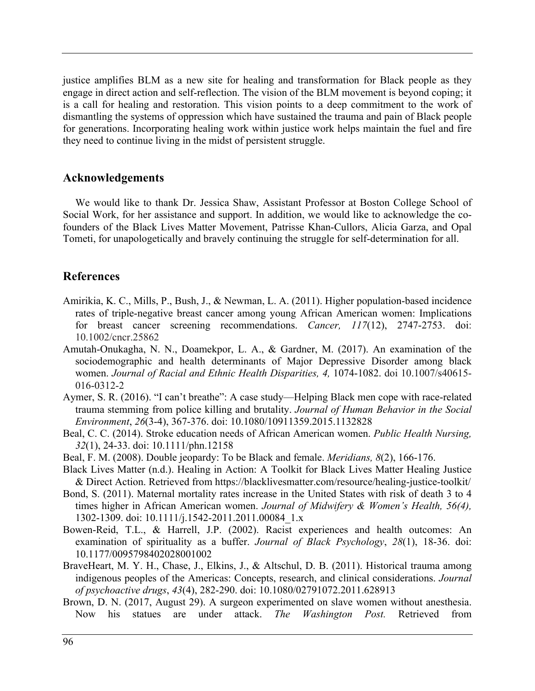justice amplifies BLM as a new site for healing and transformation for Black people as they engage in direct action and self-reflection. The vision of the BLM movement is beyond coping; it is a call for healing and restoration. This vision points to a deep commitment to the work of dismantling the systems of oppression which have sustained the trauma and pain of Black people for generations. Incorporating healing work within justice work helps maintain the fuel and fire they need to continue living in the midst of persistent struggle.

# **Acknowledgements**

We would like to thank Dr. Jessica Shaw, Assistant Professor at Boston College School of Social Work, for her assistance and support. In addition, we would like to acknowledge the cofounders of the Black Lives Matter Movement, Patrisse Khan-Cullors, Alicia Garza, and Opal Tometi, for unapologetically and bravely continuing the struggle for self-determination for all.

# **References**

- Amirikia, K. C., Mills, P., Bush, J., & Newman, L. A. (2011). Higher population-based incidence rates of triple-negative breast cancer among young African American women: Implications for breast cancer screening recommendations. *Cancer, 117*(12), 2747-2753. doi: 10.1002/cncr.25862
- Amutah-Onukagha, N. N., Doamekpor, L. A., & Gardner, M. (2017). An examination of the sociodemographic and health determinants of Major Depressive Disorder among black women. *Journal of Racial and Ethnic Health Disparities, 4,* 1074-1082. doi 10.1007/s40615- 016-0312-2
- Aymer, S. R. (2016). "I can't breathe": A case study—Helping Black men cope with race-related trauma stemming from police killing and brutality. *Journal of Human Behavior in the Social Environment*, *26*(3-4), 367-376. doi: 10.1080/10911359.2015.1132828
- Beal, C. C. (2014). Stroke education needs of African American women. *Public Health Nursing, 32*(1), 24-33. doi: 10.1111/phn.12158
- Beal, F. M. (2008). Double jeopardy: To be Black and female. *Meridians, 8*(2), 166-176.
- Black Lives Matter (n.d.). Healing in Action: A Toolkit for Black Lives Matter Healing Justice & Direct Action. Retrieved from https://blacklivesmatter.com/resource/healing-justice-toolkit/
- Bond, S. (2011). Maternal mortality rates increase in the United States with risk of death 3 to 4 times higher in African American women. *Journal of Midwifery & Women's Health, 56(4),* 1302-1309. doi: 10.1111/j.1542-2011.2011.00084\_1.x
- Bowen-Reid, T.L., & Harrell, J.P. (2002). Racist experiences and health outcomes: An examination of spirituality as a buffer. *Journal of Black Psychology*, *28*(1), 18-36. doi: 10.1177/0095798402028001002
- BraveHeart, M. Y. H., Chase, J., Elkins, J., & Altschul, D. B. (2011). Historical trauma among indigenous peoples of the Americas: Concepts, research, and clinical considerations. *Journal of psychoactive drugs*, *43*(4), 282-290. doi: 10.1080/02791072.2011.628913
- Brown, D. N. (2017, August 29). A surgeon experimented on slave women without anesthesia. Now his statues are under attack. *The Washington Post.* Retrieved from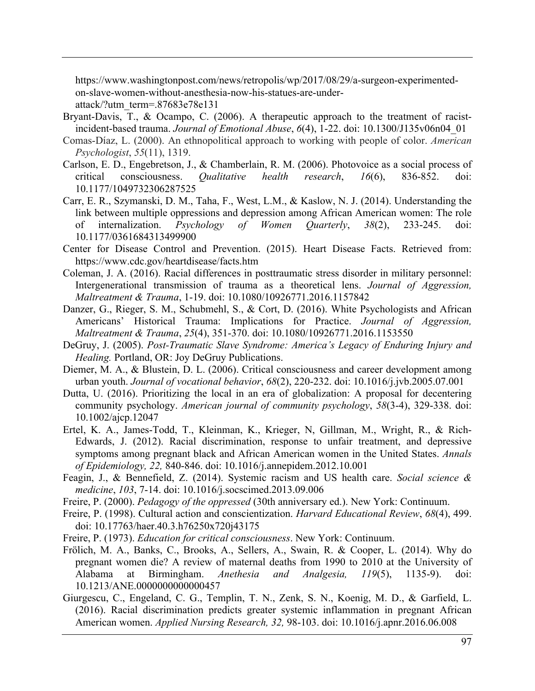https://www.washingtonpost.com/news/retropolis/wp/2017/08/29/a-surgeon-experimentedon-slave-women-without-anesthesia-now-his-statues-are-under-

attack/?utm\_term=.87683e78e131

- Bryant-Davis, T., & Ocampo, C. (2006). A therapeutic approach to the treatment of racistincident-based trauma. *Journal of Emotional Abuse*, *6*(4), 1-22. doi: 10.1300/J135v06n04\_01
- Comas-Díaz, L. (2000). An ethnopolitical approach to working with people of color. *American Psychologist*, *55*(11), 1319.
- Carlson, E. D., Engebretson, J., & Chamberlain, R. M. (2006). Photovoice as a social process of critical consciousness. *Qualitative health research*, *16*(6), 836-852. doi: 10.1177/1049732306287525
- Carr, E. R., Szymanski, D. M., Taha, F., West, L.M., & Kaslow, N. J. (2014). Understanding the link between multiple oppressions and depression among African American women: The role of internalization. *Psychology of Women Quarterly*, *38*(2), 233-245. doi: 10.1177/0361684313499900
- Center for Disease Control and Prevention. (2015). Heart Disease Facts. Retrieved from: https://www.cdc.gov/heartdisease/facts.htm
- Coleman, J. A. (2016). Racial differences in posttraumatic stress disorder in military personnel: Intergenerational transmission of trauma as a theoretical lens. *Journal of Aggression, Maltreatment & Trauma*, 1-19. doi: 10.1080/10926771.2016.1157842
- Danzer, G., Rieger, S. M., Schubmehl, S., & Cort, D. (2016). White Psychologists and African Americans' Historical Trauma: Implications for Practice. *Journal of Aggression, Maltreatment & Trauma*, *25*(4), 351-370. doi: 10.1080/10926771.2016.1153550
- DeGruy, J. (2005). *Post-Traumatic Slave Syndrome: America's Legacy of Enduring Injury and Healing.* Portland, OR: Joy DeGruy Publications.
- Diemer, M. A., & Blustein, D. L. (2006). Critical consciousness and career development among urban youth. *Journal of vocational behavior*, *68*(2), 220-232. doi: 10.1016/j.jvb.2005.07.001
- Dutta, U. (2016). Prioritizing the local in an era of globalization: A proposal for decentering community psychology. *American journal of community psychology*, *58*(3-4), 329-338. doi: 10.1002/ajcp.12047
- Ertel, K. A., James-Todd, T., Kleinman, K., Krieger, N, Gillman, M., Wright, R., & Rich-Edwards, J. (2012). Racial discrimination, response to unfair treatment, and depressive symptoms among pregnant black and African American women in the United States. *Annals of Epidemiology, 22,* 840-846. doi: 10.1016/j.annepidem.2012.10.001
- Feagin, J., & Bennefield, Z. (2014). Systemic racism and US health care. *Social science & medicine*, *103*, 7-14. doi: 10.1016/j.socscimed.2013.09.006
- Freire, P. (2000). *Pedagogy of the oppressed* (30th anniversary ed.). New York: Continuum.
- Freire, P. (1998). Cultural action and conscientization. *Harvard Educational Review*, *68*(4), 499. doi: 10.17763/haer.40.3.h76250x720j43175
- Freire, P. (1973). *Education for critical consciousness*. New York: Continuum.
- Frölich, M. A., Banks, C., Brooks, A., Sellers, A., Swain, R. & Cooper, L. (2014). Why do pregnant women die? A review of maternal deaths from 1990 to 2010 at the University of Alabama at Birmingham. *Anethesia and Analgesia, 119*(5), 1135-9). doi: 10.1213/ANE.0000000000000457
- Giurgescu, C., Engeland, C. G., Templin, T. N., Zenk, S. N., Koenig, M. D., & Garfield, L. (2016). Racial discrimination predicts greater systemic inflammation in pregnant African American women. *Applied Nursing Research, 32,* 98-103. doi: 10.1016/j.apnr.2016.06.008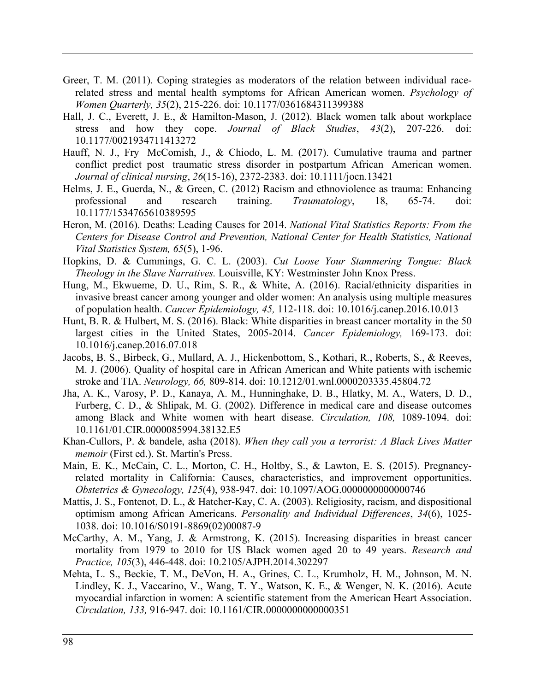- Greer, T. M. (2011). Coping strategies as moderators of the relation between individual racerelated stress and mental health symptoms for African American women. *Psychology of Women Quarterly, 35*(2), 215-226. doi: 10.1177/0361684311399388
- Hall, J. C., Everett, J. E., & Hamilton-Mason, J. (2012). Black women talk about workplace stress and how they cope. *Journal of Black Studies*, *43*(2), 207-226. doi: 10.1177/0021934711413272
- Hauff, N. J., Fry McComish, J., & Chiodo, L. M. (2017). Cumulative trauma and partner conflict predict post traumatic stress disorder in postpartum African American women. *Journal of clinical nursing*, *26*(15-16), 2372-2383. doi: 10.1111/jocn.13421
- Helms, J. E., Guerda, N., & Green, C. (2012) Racism and ethnoviolence as trauma: Enhancing professional and research training. *Traumatology*, 18, 65-74. doi: 10.1177/1534765610389595
- Heron, M. (2016). Deaths: Leading Causes for 2014. *National Vital Statistics Reports: From the Centers for Disease Control and Prevention, National Center for Health Statistics, National Vital Statistics System, 65*(5), 1-96.
- Hopkins, D. & Cummings, G. C. L. (2003). *Cut Loose Your Stammering Tongue: Black Theology in the Slave Narratives.* Louisville, KY: Westminster John Knox Press.
- Hung, M., Ekwueme, D. U., Rim, S. R., & White, A. (2016). Racial/ethnicity disparities in invasive breast cancer among younger and older women: An analysis using multiple measures of population health. *Cancer Epidemiology, 45,* 112-118. doi: 10.1016/j.canep.2016.10.013
- Hunt, B. R. & Hulbert, M. S. (2016). Black: White disparities in breast cancer mortality in the 50 largest cities in the United States, 2005-2014. *Cancer Epidemiology,* 169-173. doi: 10.1016/j.canep.2016.07.018
- Jacobs, B. S., Birbeck, G., Mullard, A. J., Hickenbottom, S., Kothari, R., Roberts, S., & Reeves, M. J. (2006). Quality of hospital care in African American and White patients with ischemic stroke and TIA. *Neurology, 66,* 809-814. doi: 10.1212/01.wnl.0000203335.45804.72
- Jha, A. K., Varosy, P. D., Kanaya, A. M., Hunninghake, D. B., Hlatky, M. A., Waters, D. D., Furberg, C. D., & Shlipak, M. G. (2002). Difference in medical care and disease outcomes among Black and White women with heart disease. *Circulation, 108,* 1089-1094. doi: 10.1161/01.CIR.0000085994.38132.E5
- Khan-Cullors, P. & bandele, asha (2018). *When they call you a terrorist: A Black Lives Matter memoir* (First ed.). St. Martin's Press.
- Main, E. K., McCain, C. L., Morton, C. H., Holtby, S., & Lawton, E. S. (2015). Pregnancyrelated mortality in California: Causes, characteristics, and improvement opportunities. *Obstetrics & Gynecology, 125*(4), 938-947. doi: 10.1097/AOG.0000000000000746
- Mattis, J. S., Fontenot, D. L., & Hatcher-Kay, C. A. (2003). Religiosity, racism, and dispositional optimism among African Americans. *Personality and Individual Differences*, *34*(6), 1025- 1038. doi: 10.1016/S0191-8869(02)00087-9
- McCarthy, A. M., Yang, J. & Armstrong, K. (2015). Increasing disparities in breast cancer mortality from 1979 to 2010 for US Black women aged 20 to 49 years. *Research and Practice, 105*(3), 446-448. doi: 10.2105/AJPH.2014.302297
- Mehta, L. S., Beckie, T. M., DeVon, H. A., Grines, C. L., Krumholz, H. M., Johnson, M. N. Lindley, K. J., Vaccarino, V., Wang, T. Y., Watson, K. E., & Wenger, N. K. (2016). Acute myocardial infarction in women: A scientific statement from the American Heart Association. *Circulation, 133,* 916-947. doi: 10.1161/CIR.0000000000000351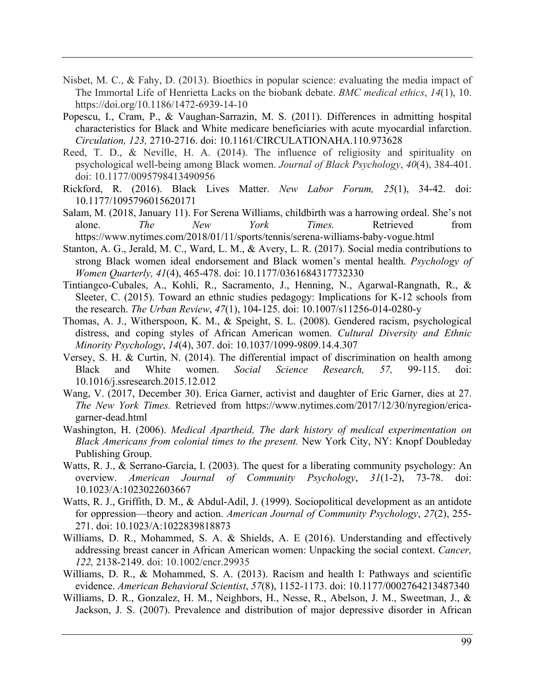- Nisbet, M. C., & Fahy, D. (2013). Bioethics in popular science: evaluating the media impact of The Immortal Life of Henrietta Lacks on the biobank debate. *BMC medical ethics*, *14*(1), 10. https://doi.org/10.1186/1472-6939-14-10
- Popescu, I., Cram, P., & Vaughan-Sarrazin, M. S. (2011). Differences in admitting hospital characteristics for Black and White medicare beneficiaries with acute myocardial infarction. *Circulation, 123,* 2710-2716. doi: 10.1161/CIRCULATIONAHA.110.973628
- Reed, T. D., & Neville, H. A. (2014). The influence of religiosity and spirituality on psychological well-being among Black women. *Journal of Black Psychology*, *40*(4), 384-401. doi: 10.1177/0095798413490956
- Rickford, R. (2016). Black Lives Matter. *New Labor Forum, 25*(1), 34-42. doi: 10.1177/1095796015620171
- Salam, M. (2018, January 11). For Serena Williams, childbirth was a harrowing ordeal. She's not alone. *The New York Times.* Retrieved from https://www.nytimes.com/2018/01/11/sports/tennis/serena-williams-baby-vogue.html
- Stanton, A. G., Jerald, M. C., Ward, L. M., & Avery, L. R. (2017). Social media contributions to strong Black women ideal endorsement and Black women's mental health. *Psychology of Women Quarterly, 41*(4), 465-478. doi: 10.1177/0361684317732330
- Tintiangco-Cubales, A., Kohli, R., Sacramento, J., Henning, N., Agarwal-Rangnath, R., & Sleeter, C. (2015). Toward an ethnic studies pedagogy: Implications for K-12 schools from the research. *The Urban Review*, *47*(1), 104-125. doi: 10.1007/s11256-014-0280-y
- Thomas, A. J., Witherspoon, K. M., & Speight, S. L. (2008). Gendered racism, psychological distress, and coping styles of African American women. *Cultural Diversity and Ethnic Minority Psychology*, *14*(4), 307. doi: 10.1037/1099-9809.14.4.307
- Versey, S. H. & Curtin, N. (2014). The differential impact of discrimination on health among Black and White women. *Social Science Research, 57,* 99-115. doi: 10.1016/j.ssresearch.2015.12.012
- Wang, V. (2017, December 30). Erica Garner, activist and daughter of Eric Garner, dies at 27. *The New York Times.* Retrieved from https://www.nytimes.com/2017/12/30/nyregion/ericagarner-dead.html
- Washington, H. (2006). *Medical Apartheid, The dark history of medical experimentation on Black Americans from colonial times to the present.* New York City, NY: Knopf Doubleday Publishing Group.
- Watts, R. J., & Serrano-García, I. (2003). The quest for a liberating community psychology: An overview. *American Journal of Community Psychology*, *31*(1-2), 73-78. doi: 10.1023/A:1023022603667
- Watts, R. J., Griffith, D. M., & Abdul-Adil, J. (1999). Sociopolitical development as an antidote for oppression—theory and action. *American Journal of Community Psychology*, *27*(2), 255- 271. doi: 10.1023/A:1022839818873
- Williams, D. R., Mohammed, S. A. & Shields, A. E (2016). Understanding and effectively addressing breast cancer in African American women: Unpacking the social context. *Cancer, 122,* 2138-2149. doi: 10.1002/cncr.29935
- Williams, D. R., & Mohammed, S. A. (2013). Racism and health I: Pathways and scientific evidence. *American Behavioral Scientist*, *57*(8), 1152-1173. doi: 10.1177/0002764213487340
- Williams, D. R., Gonzalez, H. M., Neighbors, H., Nesse, R., Abelson, J. M., Sweetman, J., & Jackson, J. S. (2007). Prevalence and distribution of major depressive disorder in African